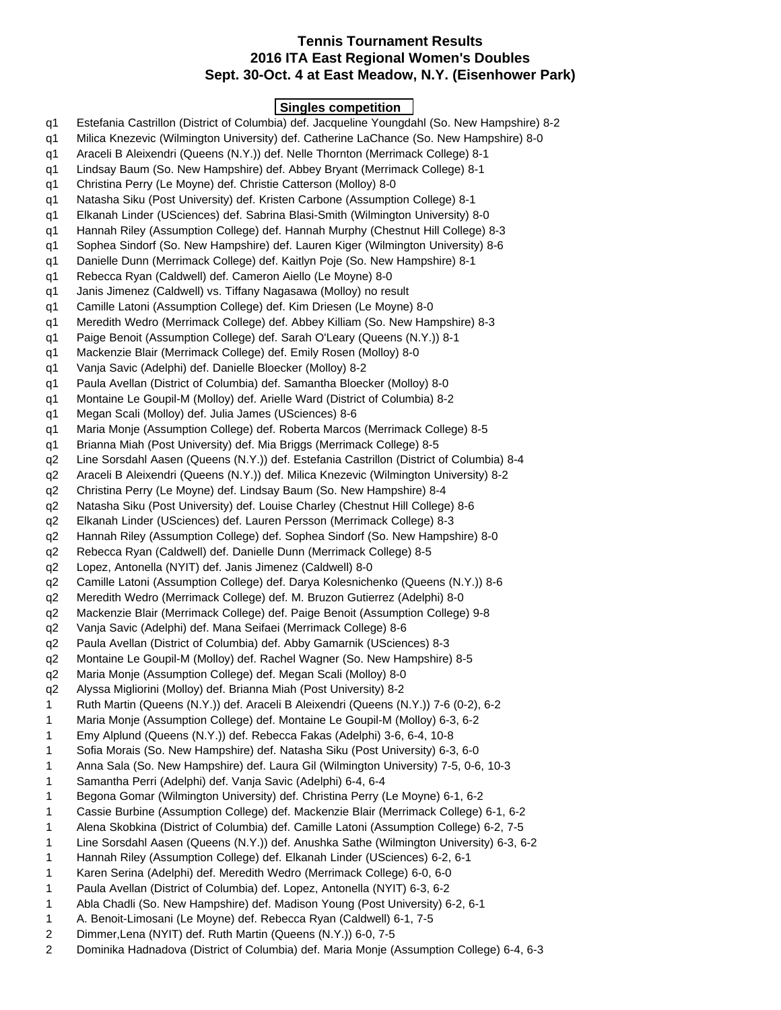#### **Tennis Tournament Results 2016 ITA East Regional Women's Doubles Sept. 30-Oct. 4 at East Meadow, N.Y. (Eisenhower Park)**

#### **Singles competition**

- q1 Estefania Castrillon (District of Columbia) def. Jacqueline Youngdahl (So. New Hampshire) 8-2 q1 Milica Knezevic (Wilmington University) def. Catherine LaChance (So. New Hampshire) 8-0 q1 Araceli B Aleixendri (Queens (N.Y.)) def. Nelle Thornton (Merrimack College) 8-1 q1 Lindsay Baum (So. New Hampshire) def. Abbey Bryant (Merrimack College) 8-1 q1 Christina Perry (Le Moyne) def. Christie Catterson (Molloy) 8-0 q1 Natasha Siku (Post University) def. Kristen Carbone (Assumption College) 8-1 q1 Elkanah Linder (USciences) def. Sabrina Blasi-Smith (Wilmington University) 8-0 q1 Hannah Riley (Assumption College) def. Hannah Murphy (Chestnut Hill College) 8-3 q1 Sophea Sindorf (So. New Hampshire) def. Lauren Kiger (Wilmington University) 8-6 q1 Danielle Dunn (Merrimack College) def. Kaitlyn Poje (So. New Hampshire) 8-1 q1 Rebecca Ryan (Caldwell) def. Cameron Aiello (Le Moyne) 8-0 q1 Janis Jimenez (Caldwell) vs. Tiffany Nagasawa (Molloy) no result q1 Camille Latoni (Assumption College) def. Kim Driesen (Le Moyne) 8-0 q1 Meredith Wedro (Merrimack College) def. Abbey Killiam (So. New Hampshire) 8-3 q1 Paige Benoit (Assumption College) def. Sarah O'Leary (Queens (N.Y.)) 8-1 q1 Mackenzie Blair (Merrimack College) def. Emily Rosen (Molloy) 8-0 q1 Vanja Savic (Adelphi) def. Danielle Bloecker (Molloy) 8-2 q1 Paula Avellan (District of Columbia) def. Samantha Bloecker (Molloy) 8-0 q1 Montaine Le Goupil-M (Molloy) def. Arielle Ward (District of Columbia) 8-2 q1 Megan Scali (Molloy) def. Julia James (USciences) 8-6 q1 Maria Monje (Assumption College) def. Roberta Marcos (Merrimack College) 8-5 q1 Brianna Miah (Post University) def. Mia Briggs (Merrimack College) 8-5 q2 Line Sorsdahl Aasen (Queens (N.Y.)) def. Estefania Castrillon (District of Columbia) 8-4 q2 Araceli B Aleixendri (Queens (N.Y.)) def. Milica Knezevic (Wilmington University) 8-2 q2 Christina Perry (Le Moyne) def. Lindsay Baum (So. New Hampshire) 8-4 q2 Natasha Siku (Post University) def. Louise Charley (Chestnut Hill College) 8-6 q2 Elkanah Linder (USciences) def. Lauren Persson (Merrimack College) 8-3 q2 Hannah Riley (Assumption College) def. Sophea Sindorf (So. New Hampshire) 8-0 q2 Rebecca Ryan (Caldwell) def. Danielle Dunn (Merrimack College) 8-5 q2 Lopez, Antonella (NYIT) def. Janis Jimenez (Caldwell) 8-0 q2 Camille Latoni (Assumption College) def. Darya Kolesnichenko (Queens (N.Y.)) 8-6 q2 Meredith Wedro (Merrimack College) def. M. Bruzon Gutierrez (Adelphi) 8-0 q2 Mackenzie Blair (Merrimack College) def. Paige Benoit (Assumption College) 9-8 q2 Vanja Savic (Adelphi) def. Mana Seifaei (Merrimack College) 8-6 q2 Paula Avellan (District of Columbia) def. Abby Gamarnik (USciences) 8-3 q2 Montaine Le Goupil-M (Molloy) def. Rachel Wagner (So. New Hampshire) 8-5 q2 Maria Monje (Assumption College) def. Megan Scali (Molloy) 8-0 q2 Alyssa Migliorini (Molloy) def. Brianna Miah (Post University) 8-2 1 Ruth Martin (Queens (N.Y.)) def. Araceli B Aleixendri (Queens (N.Y.)) 7-6 (0-2), 6-2 1 Maria Monje (Assumption College) def. Montaine Le Goupil-M (Molloy) 6-3, 6-2 1 Emy Alplund (Queens (N.Y.)) def. Rebecca Fakas (Adelphi) 3-6, 6-4, 10-8 1 Sofia Morais (So. New Hampshire) def. Natasha Siku (Post University) 6-3, 6-0 1 Anna Sala (So. New Hampshire) def. Laura Gil (Wilmington University) 7-5, 0-6, 10-3 1 Samantha Perri (Adelphi) def. Vanja Savic (Adelphi) 6-4, 6-4 1 Begona Gomar (Wilmington University) def. Christina Perry (Le Moyne) 6-1, 6-2 1 Cassie Burbine (Assumption College) def. Mackenzie Blair (Merrimack College) 6-1, 6-2 1 Alena Skobkina (District of Columbia) def. Camille Latoni (Assumption College) 6-2, 7-5 1 Line Sorsdahl Aasen (Queens (N.Y.)) def. Anushka Sathe (Wilmington University) 6-3, 6-2 1 Hannah Riley (Assumption College) def. Elkanah Linder (USciences) 6-2, 6-1 1 Karen Serina (Adelphi) def. Meredith Wedro (Merrimack College) 6-0, 6-0 1 Paula Avellan (District of Columbia) def. Lopez, Antonella (NYIT) 6-3, 6-2 1 Abla Chadli (So. New Hampshire) def. Madison Young (Post University) 6-2, 6-1 1 A. Benoit-Limosani (Le Moyne) def. Rebecca Ryan (Caldwell) 6-1, 7-5
	- 2 Dimmer,Lena (NYIT) def. Ruth Martin (Queens (N.Y.)) 6-0, 7-5
	- 2 Dominika Hadnadova (District of Columbia) def. Maria Monje (Assumption College) 6-4, 6-3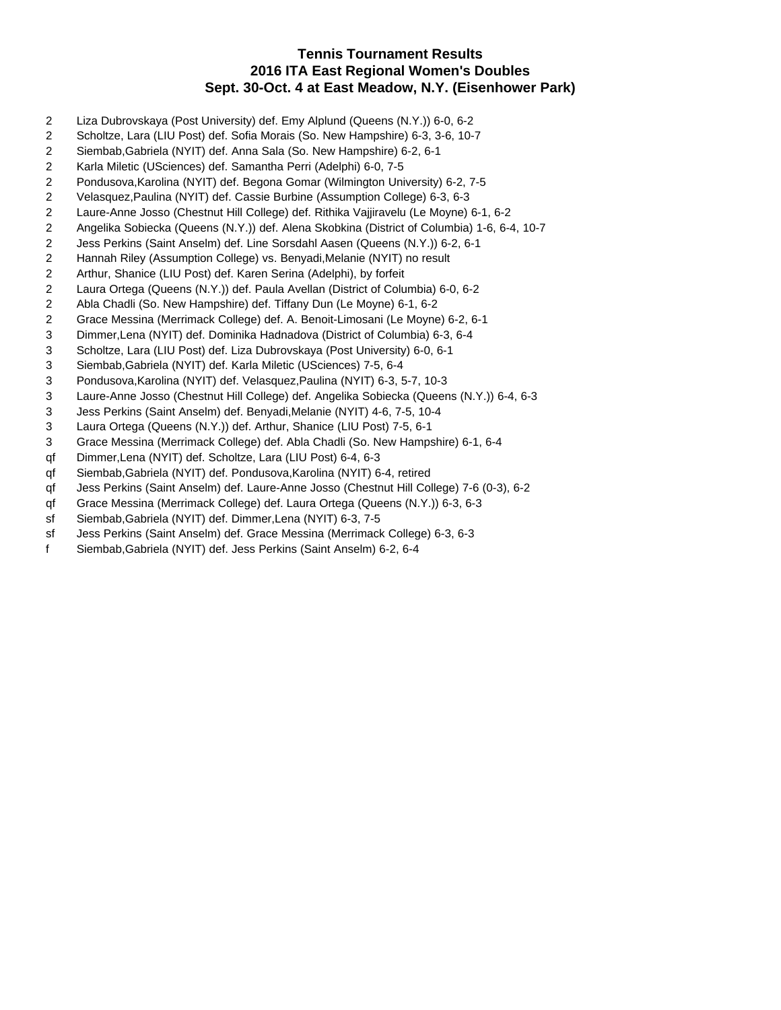# **Tennis Tournament Results 2016 ITA East Regional Women's Doubles Sept. 30-Oct. 4 at East Meadow, N.Y. (Eisenhower Park)**

- 2 Liza Dubrovskaya (Post University) def. Emy Alplund (Queens (N.Y.)) 6-0, 6-2
- 2 Scholtze, Lara (LIU Post) def. Sofia Morais (So. New Hampshire) 6-3, 3-6, 10-7
- 2 Siembab,Gabriela (NYIT) def. Anna Sala (So. New Hampshire) 6-2, 6-1
- 2 Karla Miletic (USciences) def. Samantha Perri (Adelphi) 6-0, 7-5
- 2 Pondusova,Karolina (NYIT) def. Begona Gomar (Wilmington University) 6-2, 7-5
- 2 Velasquez,Paulina (NYIT) def. Cassie Burbine (Assumption College) 6-3, 6-3
- 2 Laure-Anne Josso (Chestnut Hill College) def. Rithika Vajjiravelu (Le Moyne) 6-1, 6-2
- 2 Angelika Sobiecka (Queens (N.Y.)) def. Alena Skobkina (District of Columbia) 1-6, 6-4, 10-7
- 2 Jess Perkins (Saint Anselm) def. Line Sorsdahl Aasen (Queens (N.Y.)) 6-2, 6-1
- 2 Hannah Riley (Assumption College) vs. Benyadi,Melanie (NYIT) no result
- 2 Arthur, Shanice (LIU Post) def. Karen Serina (Adelphi), by forfeit
- 2 Laura Ortega (Queens (N.Y.)) def. Paula Avellan (District of Columbia) 6-0, 6-2
- 2 Abla Chadli (So. New Hampshire) def. Tiffany Dun (Le Moyne) 6-1, 6-2
- 2 Grace Messina (Merrimack College) def. A. Benoit-Limosani (Le Moyne) 6-2, 6-1
- 3 Dimmer,Lena (NYIT) def. Dominika Hadnadova (District of Columbia) 6-3, 6-4
- 3 Scholtze, Lara (LIU Post) def. Liza Dubrovskaya (Post University) 6-0, 6-1
- 3 Siembab,Gabriela (NYIT) def. Karla Miletic (USciences) 7-5, 6-4
- 3 Pondusova,Karolina (NYIT) def. Velasquez,Paulina (NYIT) 6-3, 5-7, 10-3
- 3 Laure-Anne Josso (Chestnut Hill College) def. Angelika Sobiecka (Queens (N.Y.)) 6-4, 6-3
- 3 Jess Perkins (Saint Anselm) def. Benyadi,Melanie (NYIT) 4-6, 7-5, 10-4
- 3 Laura Ortega (Queens (N.Y.)) def. Arthur, Shanice (LIU Post) 7-5, 6-1
- 3 Grace Messina (Merrimack College) def. Abla Chadli (So. New Hampshire) 6-1, 6-4
- qf Dimmer,Lena (NYIT) def. Scholtze, Lara (LIU Post) 6-4, 6-3
- qf Siembab,Gabriela (NYIT) def. Pondusova,Karolina (NYIT) 6-4, retired
- qf Jess Perkins (Saint Anselm) def. Laure-Anne Josso (Chestnut Hill College) 7-6 (0-3), 6-2
- qf Grace Messina (Merrimack College) def. Laura Ortega (Queens (N.Y.)) 6-3, 6-3
- sf Siembab,Gabriela (NYIT) def. Dimmer,Lena (NYIT) 6-3, 7-5
- sf Jess Perkins (Saint Anselm) def. Grace Messina (Merrimack College) 6-3, 6-3
- f Siembab,Gabriela (NYIT) def. Jess Perkins (Saint Anselm) 6-2, 6-4